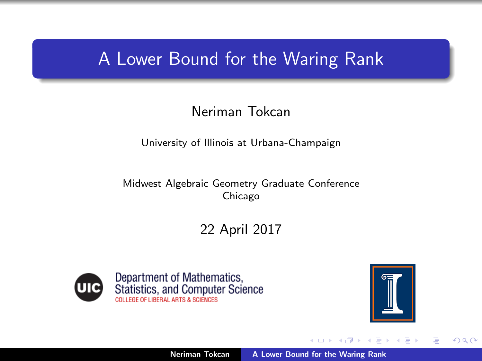## A Lower Bound for the Waring Rank

#### Neriman Tokcan

University of Illinois at Urbana-Champaign

Midwest Algebraic Geometry Graduate Conference Chicago

22 April 2017





K 로 )

<span id="page-0-0"></span>つへへ

→ 伊 ▶ → 唐 ▶

a mills.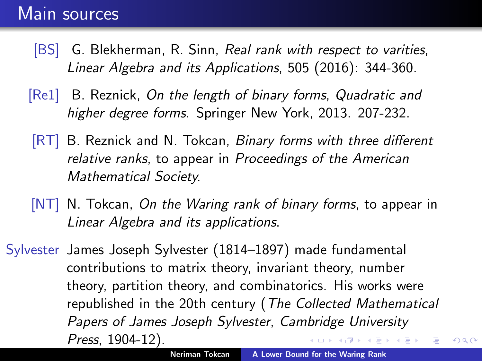## Main sources

- [BS] G. Blekherman, R. Sinn, *Real rank with respect to varities*, *Linear Algebra and its Applications*, 505 (2016): 344-360.
- [Re1] B. Reznick, *On the length of binary forms*, *Quadratic and higher degree forms*. Springer New York, 2013. 207-232.
- <span id="page-1-2"></span><span id="page-1-1"></span>[RT] B. Reznick and N. Tokcan, *Binary forms with three different relative ranks*, to appear in *Proceedings of the American Mathematical Society.*
- <span id="page-1-0"></span>[NT] N. Tokcan, *On the Waring rank of binary forms*, to appear in *Linear Algebra and its applications*.
- Sylvester James Joseph Sylvester (1814–1897) made fundamental contributions to matrix theory, invariant theory, number theory, partition theory, and combinatorics. His works were republished in the 20th century (*The Collected Mathematical Papers of James Joseph Sylvester*, *Cambridge University Press*, 1904-12). メ 御 メ メ ヨ メ ス ヨ メ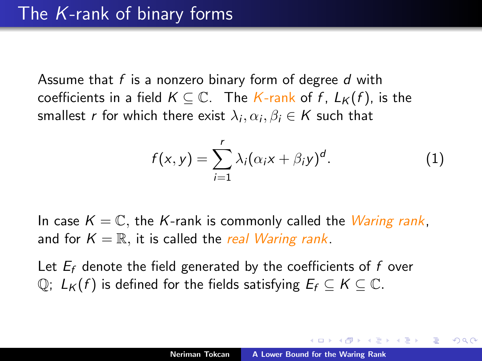Assume that *f* is a nonzero binary form of degree *d* with coefficients in a field  $K \subseteq \mathbb{C}$ . The *K*-rank of *f*,  $L_K(f)$ , is the smallest *r* for which there exist  $\lambda_i, \alpha_i, \beta_i \in K$  such that

$$
f(x,y) = \sum_{i=1}^{r} \lambda_i (\alpha_i x + \beta_i y)^d.
$$
 (1)

In case  $K = \mathbb{C}$ , the K-rank is commonly called the *Waring rank*, and for  $K = \mathbb{R}$ , it is called the *real Waring rank*.

Let  $E_f$  denote the field generated by the coefficients of  $f$  over  $\mathbb{Q}$ ;  $L_K(f)$  is defined for the fields satisfying  $E_f \subseteq K \subseteq \mathbb{C}$ .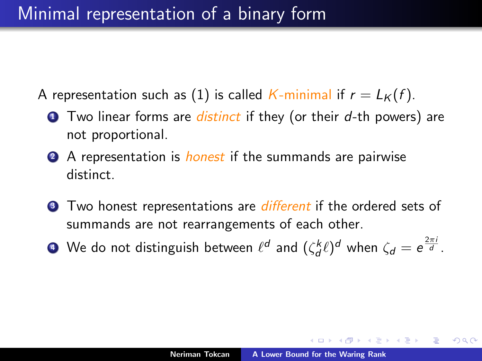# Minimal representation of a binary form

- A representation such as [\(1\)](#page-1-1) is called *K*-minimal if  $r = L_K(f)$ .
	- <sup>1</sup> Two linear forms are *distinct* if they (or their *d*-th powers) are not proportional.
	- <sup>2</sup> A representation is *honest* if the summands are pairwise distinct.
	- **3** Two honest representations are *different* if the ordered sets of summands are not rearrangements of each other.
	- $\bullet$  We do not distinguish between  $\ell^d$  and  $(\zeta_d^k \ell)^d$  when  $\zeta_d = e^{\frac{2\pi i}{d}}.$

 $\epsilon = 1$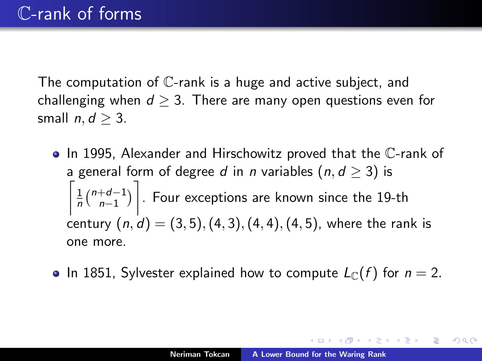The computation of C-rank is a huge and active subject, and challenging when  $d \geq 3$ . There are many open questions even for small  $n, d > 3$ .

- $\bullet$  In 1995, Alexander and Hirschowitz proved that the  $\mathbb C$ -rank of a general form of degree *d* in *n* variables  $(n, d \ge 3)$  is  $\lceil$ <sub>1</sub>  $\frac{1}{n}$  $\binom{n+d-1}{n-1}$  $n-1$  $\sqrt{ }$ . Four exceptions are known since the 19-th century (*n, d*) = (3*,* 5)*,*(4*,* 3)*,*(4*,* 4)*,*(4*,* 5), where the rank is one more.
- In 1851, Sylvester explained how to compute  $L_{\mathbb{C}}(f)$  for  $n = 2$ .

→ (御)→ → 君 → → 君 → →

つくい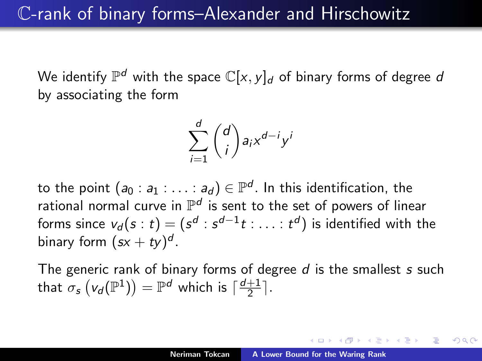We identify  $\mathbb{P}^d$  with the space  $\mathbb{C}[x, y]_d$  of binary forms of degree *d* by associating the form

$$
\sum_{i=1}^d \binom{d}{i} a_i x^{d-i} y^i
$$

to the point  $(a_0 : a_1 : \ldots : a_d) \in \mathbb{P}^d$ . In this identification, the rational normal curve in  $\mathbb{P}^d$  is sent to the set of powers of linear forms since  $v_d(s : t) = (s^d : s^{d-1}t : \ldots : t^d)$  is identified with the binary form  $(sx + ty)^d$ .

The generic rank of binary forms of degree *d* is the smallest *s* such that  $\sigma_s\left(v_d(\mathbb{P}^1)\right) = \mathbb{P}^d$  which is  $\lceil \frac{d+1}{2} \rceil$ .

御き メミメ メミメー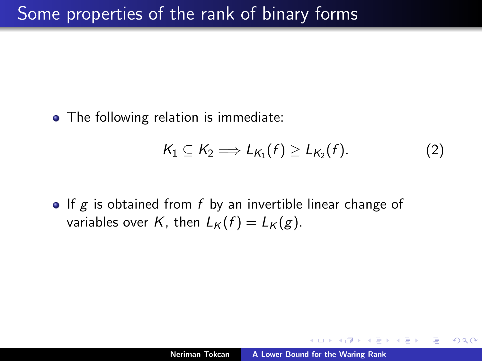• The following relation is immediate:

$$
K_1 \subseteq K_2 \Longrightarrow L_{K_1}(f) \geq L_{K_2}(f). \tag{2}
$$

• If *g* is obtained from *f* by an invertible linear change of variables over *K*, then  $L_K(f) = L_K(g)$ .

 $2Q$ 

4. E. K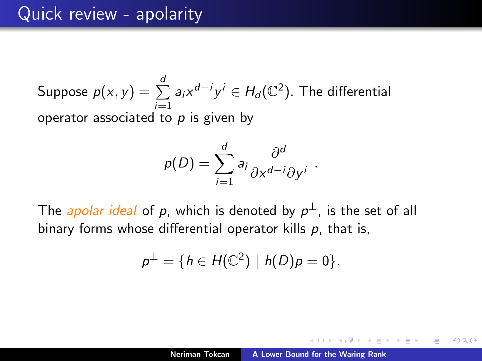Suppose 
$$
p(x, y) = \sum_{i=1}^{d} a_i x^{d-i} y^i \in H_d(\mathbb{C}^2)
$$
. The differential operator associated to  $p$  is given by

$$
p(D) = \sum_{i=1}^d a_i \frac{\partial^d}{\partial x^{d-i} \partial y^i}.
$$

The *apolar ideal* of *p*, which is denoted by  $p^{\perp}$ , is the set of all binary forms whose differential operator kills p, that is,

$$
p^{\perp}=\{h\in H(\mathbb{C}^2)\mid h(D)p=0\}.
$$

K 御 と K 唐 と K 唐 と…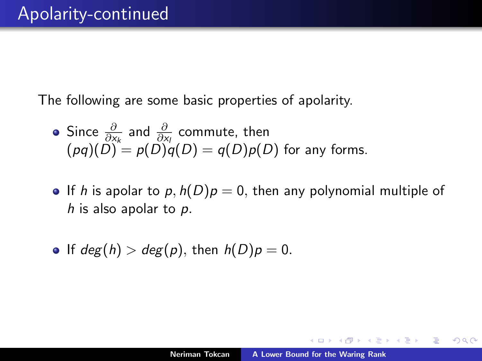The following are some basic properties of apolarity.

• Since 
$$
\frac{\partial}{\partial x_k}
$$
 and  $\frac{\partial}{\partial x_l}$  commute, then  
\n $(pq)(D) = p(D)q(D) = q(D)p(D)$  for any forms.

- If *h* is apolar to  $p$ ,  $h(D)p = 0$ , then any polynomial multiple of *h* is also apolar to *p.*
- $\bullet$  If  $deg(h) > deg(p)$ , then  $h(D)p = 0$ .

 $2Q$ 

④ 重 B 一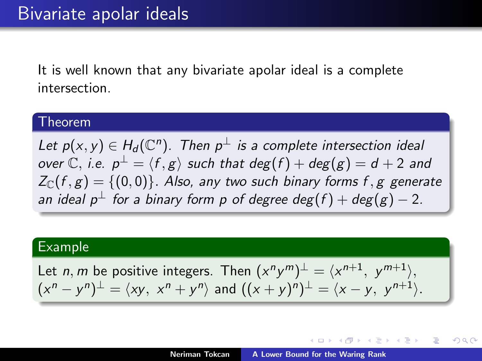It is well known that any bivariate apolar ideal is a complete intersection.

#### Theorem

*Let*  $p(x, y) \in H_d(\mathbb{C}^n)$ . Then  $p^{\perp}$  *is a complete intersection ideal over*  $\mathbb{C}$ , *i.e.*  $p^{\perp} = \langle f, g \rangle$  *such that deg*(*f*) + *deg*(*g*) = *d* + 2 *and*  $Z_{\mathbb{C}}(f, g) = \{(0, 0)\}\$ . Also, any two such binary forms f, g generate *an ideal*  $p^{\perp}$  *for a binary form p of degree deg*(*f*) +  $deg(g) - 2$ .

#### Example

Let *n*, *m* be positive integers. Then  $(x^n y^m)^{\perp} = (x^{n+1}, y^{m+1})$ ,  $(x^n - y^n)^{\perp} = \langle xy, x^n + y^n \rangle$  and  $((x + y)^n)^{\perp} = \langle x - y, y^{n+1} \rangle$ .

K ロ ⊁ K 御 ≯ K 君 ⊁ K 君 ≯ … 君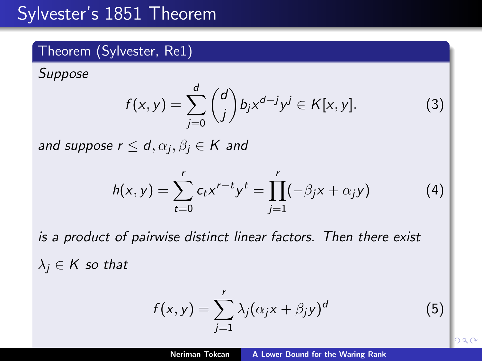# Sylvester's 1851 Theorem

#### Theorem (Sylvester, Re1)

*Suppose*

$$
f(x,y) = \sum_{j=0}^d \binom{d}{j} b_j x^{d-j} y^j \in K[x,y].
$$
 (3)

*and suppose*  $r \le d$ *,*  $\alpha_j$ *,*  $\beta_j \in K$  *and* 

$$
h(x,y) = \sum_{t=0}^{r} c_t x^{r-t} y^t = \prod_{j=1}^{r} (-\beta_j x + \alpha_j y)
$$
 (4)

*is a product of pairwise distinct linear factors. Then there exist*  $\lambda_i \in K$  so that

$$
f(x,y) = \sum_{j=1}^{r} \lambda_j (\alpha_j x + \beta_j y)^d
$$
 (5)

29 G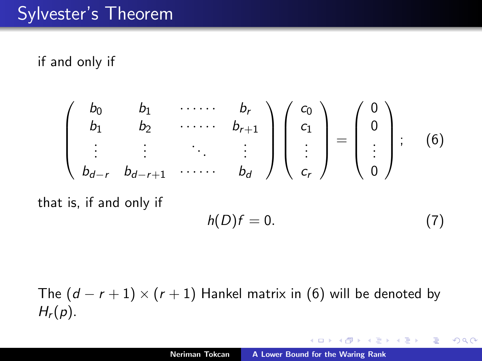## Sylvester's Theorem

#### if and only if

$$
\begin{pmatrix} b_0 & b_1 & \cdots & b_r \\ b_1 & b_2 & \cdots & b_{r+1} \\ \vdots & \vdots & \ddots & \vdots \\ b_{d-r} & b_{d-r+1} & \cdots & b_d \end{pmatrix} \begin{pmatrix} c_0 \\ c_1 \\ \vdots \\ c_r \end{pmatrix} = \begin{pmatrix} 0 \\ 0 \\ \vdots \\ 0 \end{pmatrix}; \quad (6)
$$

that is, if and only if

$$
h(D)f=0.\t\t(7)
$$

AT H **A** B K ∢ 重 ≯

扂

 $2Q$ 

The  $(d - r + 1) \times (r + 1)$  Hankel matrix in [\(6\)](#page-1-2) will be denoted by *Hr*(*p*)*.*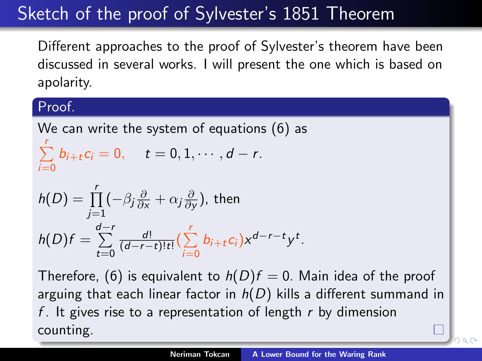# Sketch of the proof of Sylvester's 1851 Theorem

Different approaches to the proof of Sylvester's theorem have been discussed in several works. I will present the one which is based on apolarity.

#### Proof.

We can write the system of equations (6) as  $\sum_{i=1}^r$  $\sum_{i=0}^{n} b_{i+t} c_i = 0, \quad t = 0, 1, \cdots, d-r.$ 

$$
h(D) = \prod_{j=1}^{r} (-\beta_j \frac{\partial}{\partial x} + \alpha_j \frac{\partial}{\partial y}), \text{ then}
$$
  

$$
h(D)f = \sum_{t=0}^{d-r} \frac{d!}{(d-r-t)!t!} (\sum_{i=0}^{r} b_{i+t} c_i) x^{d-r-t} y^t.
$$

Therefore, (6) is equivalent to  $h(D)f = 0$ . Main idea of the proof arguing that each linear factor in  $h(D)$  kills a different summand in *f* . It gives rise to a representation of length *r* by dimension counting.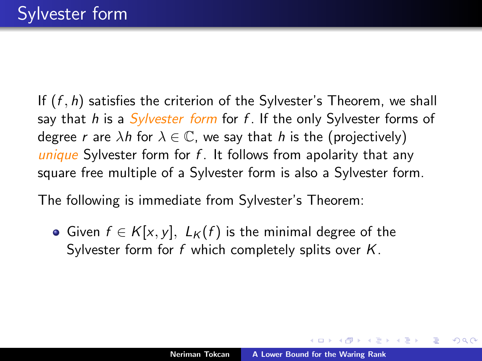If (*f , h*) satisfies the criterion of the Sylvester's Theorem, we shall say that *h* is a *Sylvester form* for *f* . If the only Sylvester forms of degree *r* are  $\lambda h$  for  $\lambda \in \mathbb{C}$ , we say that *h* is the (projectively) *unique* Sylvester form for *f* . It follows from apolarity that any square free multiple of a Sylvester form is also a Sylvester form.

The following is immediate from Sylvester's Theorem:

• Given  $f \in K[x, y]$ ,  $L_K(f)$  is the minimal degree of the Sylvester form for *f* which completely splits over *K*.

イ押 トライモ トラモト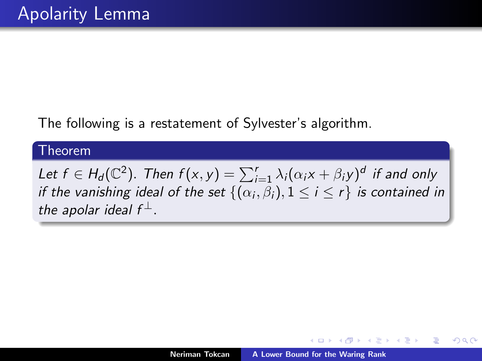The following is a restatement of Sylvester's algorithm.

#### Theorem

*Let*  $f \in H_d(\mathbb{C}^2)$ *. Then*  $f(x, y) = \sum_{i=1}^r \lambda_i(\alpha_i x + \beta_i y)^d$  if and only *if the vanishing ideal of the set*  $\{(\alpha_i, \beta_i), 1 \le i \le r\}$  *is contained in the apolar ideal*  $f^{\perp}$ *.* 

つくい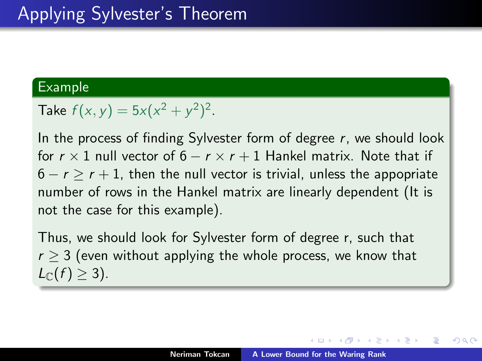#### Example

Take  $f(x, y) = 5x(x^2 + y^2)^2$ .

In the process of finding Sylvester form of degree *r*, we should look for  $r \times 1$  null vector of  $6 - r \times r + 1$  Hankel matrix. Note that if  $6 - r \ge r + 1$ , then the null vector is trivial, unless the appopriate number of rows in the Hankel matrix are linearly dependent (It is not the case for this example).

Thus, we should look for Sylvester form of degree r, such that  $r > 3$  (even without applying the whole process, we know that  $L_{\mathbb{C}}(f) \geq 3$ ).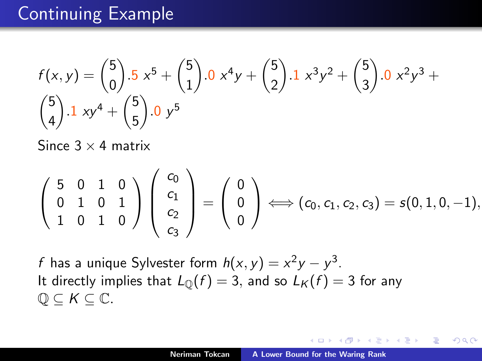# Continuing Example

$$
f(x,y) = {5 \choose 0} .5 x^{5} + {5 \choose 1} .0 x^{4}y + {5 \choose 2} .1 x^{3}y^{2} + {5 \choose 3} .0 x^{2}y^{3} + {5 \choose 4} .1 xy^{4} + {5 \choose 5} .0 y^{5}
$$

Since  $3 \times 4$  matrix

$$
\left(\begin{array}{ccc}5 & 0 & 1 & 0 \\ 0 & 1 & 0 & 1 \\ 1 & 0 & 1 & 0\end{array}\right)\left(\begin{array}{c}c_0 \\ c_1 \\ c_2 \\ c_3\end{array}\right)=\left(\begin{array}{c}0 \\ 0 \\ 0\end{array}\right)\Longleftrightarrow (c_0, c_1, c_2, c_3)=s(0, 1, 0, -1),
$$

*f* has a unique Sylvester form  $h(x, y) = x^2y - y^3$ . It directly implies that  $L_{\mathbb{O}}(f) = 3$ , and so  $L_K(f) = 3$  for any  $\mathbb{Q} \subset K \subset \mathbb{C}$ .

用 レイチャ

4 三 日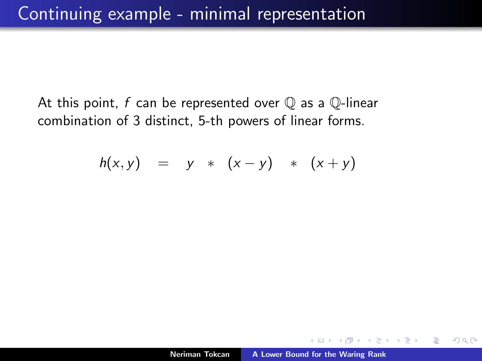At this point, *f* can be represented over Q as a Q-linear combination of 3 distinct, 5-th powers of linear forms.

$$
h(x, y) = y * (x - y) * (x + y)
$$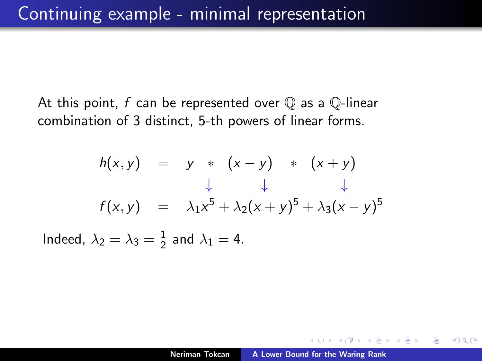At this point, *f* can be represented over Q as a Q-linear combination of 3 distinct, 5-th powers of linear forms.

$$
h(x, y) = y * (x - y) * (x + y)
$$
  
\n
$$
\downarrow \qquad \downarrow \qquad \downarrow
$$
  
\n
$$
f(x, y) = \lambda_1 x^5 + \lambda_2 (x + y)^5 + \lambda_3 (x - y)^5
$$
  
\nIndeed,  $\lambda_2 = \lambda_3 = \frac{1}{2}$  and  $\lambda_1 = 4$ .

 $2Q$ 

4 三 日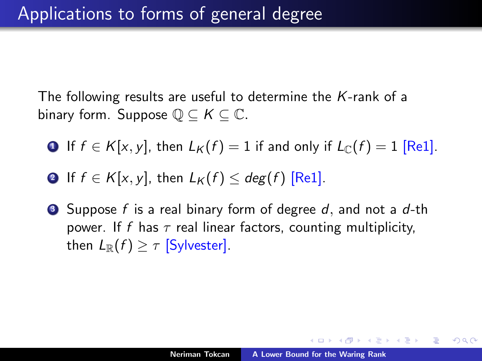The following results are useful to determine the *K*-rank of a binary form. Suppose  $\mathbb{Q} \subset K \subset \mathbb{C}$ .

- **1** If  $f \in K[x, y]$ , then  $L_K(f) = 1$  if and only if  $L_C(f) = 1$  [Re1].
- **2** If  $f \in K[x, y]$ , then  $L_K(f) \leq deg(f)$  [Re1].
- <sup>3</sup> Suppose *f* is a real binary form of degree *d,* and not a *d*-th power. If f has  $\tau$  real linear factors, counting multiplicity, then  $L_{\mathbb{R}}(f) > \tau$  [Sylvester].

メ御き メミメ メミメー

つくい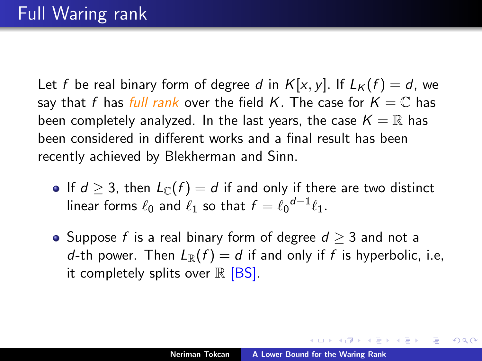Let *f* be real binary form of degree *d* in  $K[x, y]$ . If  $L_K(f) = d$ , we say that *f* has *full rank* over the field *K*. The case for  $K = \mathbb{C}$  has been completely analyzed. In the last years, the case  $K = \mathbb{R}$  has been considered in different works and a final result has been recently achieved by Blekherman and Sinn.

- If  $d \geq 3$ , then  $L_{\mathbb{C}}(f) = d$  if and only if there are two distinct linear forms  $\ell_0$  and  $\ell_1$  so that  $f = \ell_0^{d-1} \ell_1$ .
- Suppose *f* is a real binary form of degree  $d \geq 3$  and not a *d*-th power. Then  $L_{\mathbb{R}}(f) = d$  if and only if *f* is hyperbolic, i.e, it completely splits over  $\mathbb R$  [BS].

 $4.50 \times 4.70 \times 4.70 \times$ 

つくい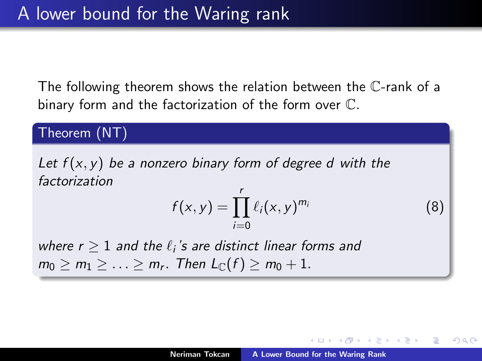The following theorem shows the relation between the C-rank of a binary form and the factorization of the form over C*.*

Theorem (NT)

*Let f* (*x, y*) *be a nonzero binary form of degree d with the factorization*

$$
f(x, y) = \prod_{i=0}^{r} \ell_i(x, y)^{m_i}
$$
 (8)

へのへ

*where r*  $\geq$  1 *and the*  $\ell_i$ 's are distinct linear forms and  $m_0 \ge m_1 \ge ... \ge m_r$ . Then  $L_{\mathbb{C}}(f) \ge m_0 + 1$ .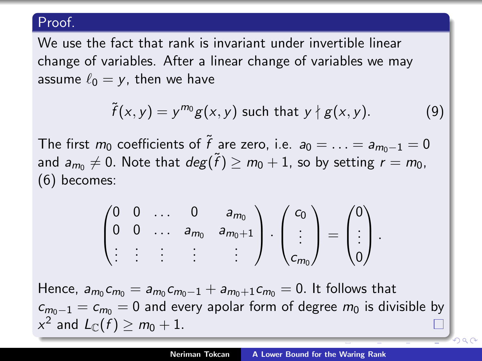#### Proof.

We use the fact that rank is invariant under invertible linear change of variables. After a linear change of variables we may assume  $\ell_0 = v$ , then we have

$$
\tilde{f}(x,y) = y^{m_0}g(x,y) \text{ such that } y \nmid g(x,y). \tag{9}
$$

The first  $m_0$  coefficients of  $\tilde{f}$  are zero, i.e.  $a_0 = \ldots = a_{m_0-1} = 0$ and  $a_{m_0} \neq 0$ . Note that  $deg(\tilde{f}) \geq m_0 + 1$ , so by setting  $r = m_0$ , [\(6\)](#page-1-2) becomes:

$$
\begin{pmatrix} 0 & 0 & \dots & 0 & a_{m_0} \\ 0 & 0 & \dots & a_{m_0} & a_{m_0+1} \\ \vdots & \vdots & \vdots & \vdots & \vdots \end{pmatrix} \cdot \begin{pmatrix} c_0 \\ \vdots \\ c_{m_0} \end{pmatrix} = \begin{pmatrix} 0 \\ \vdots \\ 0 \end{pmatrix}.
$$

Hence,  $a_{m_0} c_{m_0} = a_{m_0} c_{m_0-1} + a_{m_0+1} c_{m_0} = 0$ . It follows that  $c_{m_0-1} = c_{m_0} = 0$  and every apolar form of degree  $m_0$  is divisible by  $x^2$  and  $L_{\mathbb{C}}(f) > m_0 + 1$ .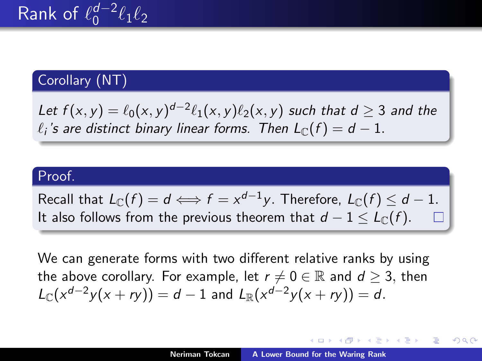## Corollary (NT)

*Let*  $f(x, y) = \ell_0(x, y)^{d-2} \ell_1(x, y) \ell_2(x, y)$  *such that d*  $\geq 3$  *and the*  $\ell_i$ 's are distinct binary linear forms. Then  $L_{\mathbb{C}}(f) = d - 1$ .

#### Proof.

Recall that  $L_{\mathbb{C}}(f) = d \Longleftrightarrow f = x^{d-1}y$ . Therefore,  $L_{\mathbb{C}}(f) \leq d-1$ . It also follows from the previous theorem that  $d - 1 \leq L_{\Gamma}(f)$ .

We can generate forms with two different relative ranks by using the above corollary. For example, let  $r \neq 0 \in \mathbb{R}$  and  $d \geq 3$ , then  $L_{\mathbb{C}}(x^{d-2}y(x + ry)) = d - 1$  and  $L_{\mathbb{R}}(x^{d-2}y(x + ry)) = d$ .

イロト イ部 トイヨ トイヨ トー

つくい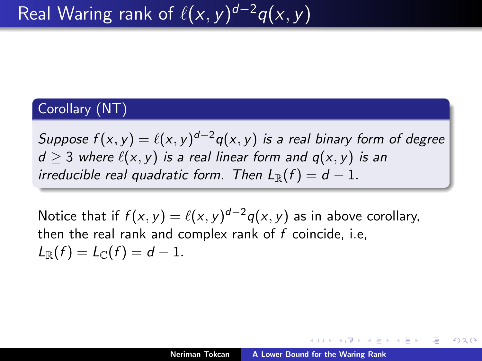#### Corollary (NT)

*Suppose*  $f(x, y) = \ell(x, y)^{d-2}g(x, y)$  *is a real binary form of degree*  $d > 3$  *where*  $\ell(x, y)$  *is a real linear form and*  $q(x, y)$  *is an irreducible real quadratic form. Then*  $L_{\mathbb{R}}(f) = d - 1$ .

Notice that if  $f(x, y) = \ell(x, y)^{d-2}q(x, y)$  as in above corollary, then the real rank and complex rank of *f* coincide, i.e,  $L_{\mathbb{R}}(f) = L_{\mathbb{C}}(f) = d - 1.$ 

∢ 伊 ▶ (す ) → ( ヨ ) →

つへへ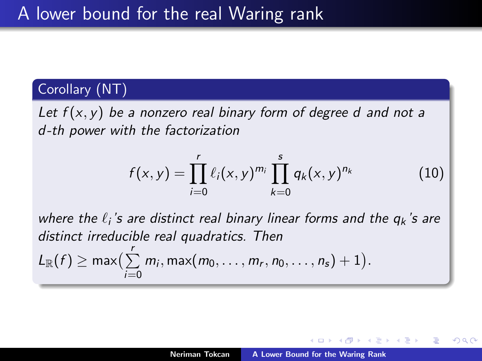### Corollary (NT)

*Let f* (*x, y*) *be a nonzero real binary form of degree d and not a d -th power with the factorization*

$$
f(x,y) = \prod_{i=0}^{r} \ell_i(x,y)^{m_i} \prod_{k=0}^{s} q_k(x,y)^{n_k}
$$
 (10)

*where the*  $\ell_i$ 's are distinct real binary linear forms and the  $q_k$ 's are *distinct irreducible real quadratics. Then*  $L_{\mathbb{R}}(f) \ge \max\left(\sum_{i=0}^{r} m_i, \max(m_0, \ldots, m_r, n_0, \ldots, n_s) + 1\right).$ *i*=0

∽≏ດ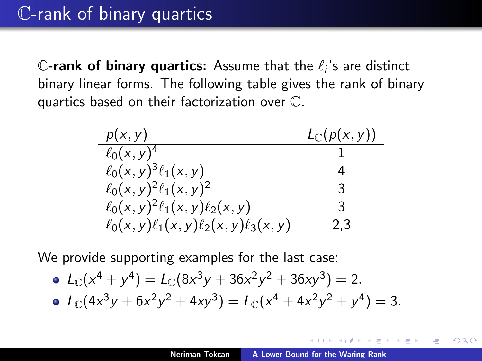C-rank of binary quartics: Assume that the  $\ell_i$ 's are distinct binary linear forms. The following table gives the rank of binary quartics based on their factorization over C*.*

| p(x, y)                                        | $L_{\mathbb{C}}(p(x,y))$ |
|------------------------------------------------|--------------------------|
| $\ell_0(x, y)^4$                               |                          |
| $\ell_0(x,y)^3 \ell_1(x,y)$                    |                          |
| $\ell_0(x, y)^2 \ell_1(x, y)^2$                | 3                        |
| $\ell_0(x,y)^2\ell_1(x,y)\ell_2(x,y)$          | ર                        |
| $\ell_0(x,y)\ell_1(x,y)\ell_2(x,y)\ell_3(x,y)$ | 2.3                      |

We provide supporting examples for the last case:

• 
$$
L_C(x^4 + y^4) = L_C(8x^3y + 36x^2y^2 + 36xy^3) = 2.
$$
  
\n•  $L_C(4x^3y + 6x^2y^2 + 4xy^3) = L_C(x^4 + 4x^2y^2 + y^4) = 3.$ 

4 三 日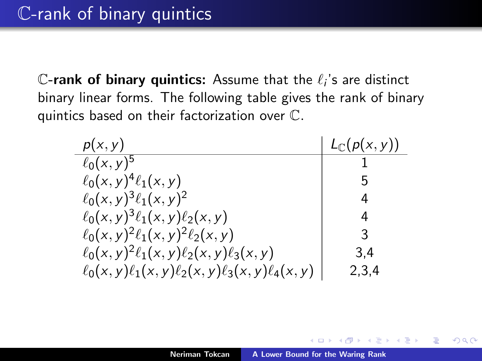C-rank of binary quintics: Assume that the  $\ell_i$ 's are distinct binary linear forms. The following table gives the rank of binary quintics based on their factorization over C*.*

| p(x, y)                                                   | $L_{\mathbb{C}}(p(x,y))$ |
|-----------------------------------------------------------|--------------------------|
| $\ell_0(x, y)^5$                                          |                          |
| $\ell_0(x,y)^4\ell_1(x,y)$                                |                          |
| $\ell_0(x, y)^3 \ell_1(x, y)^2$                           | 4                        |
| $\ell_0(x,y)^3 \ell_1(x,y) \ell_2(x,y)$                   | 4                        |
| $\ell_0(x,y)^2 \ell_1(x,y)^2 \ell_2(x,y)$                 | 3                        |
| $\ell_0(x, y)^2 \ell_1(x, y) \ell_2(x, y) \ell_3(x, y)$   | 3.4                      |
| $\ell_0(x,y)\ell_1(x,y)\ell_2(x,y)\ell_3(x,y)\ell_4(x,y)$ | 2,3,4                    |

 $2Q$ 

4 三 日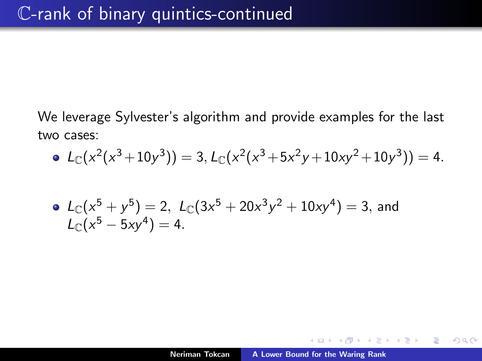We leverage Sylvester's algorithm and provide examples for the last two cases:

• 
$$
L_{\mathbb{C}}(x^2(x^3+10y^3)) = 3, L_{\mathbb{C}}(x^2(x^3+5x^2y+10xy^2+10y^3)) = 4.
$$

• 
$$
L_{\mathbb{C}}(x^5 + y^5) = 2
$$
,  $L_{\mathbb{C}}(3x^5 + 20x^3y^2 + 10xy^4) = 3$ , and  
 $L_{\mathbb{C}}(x^5 - 5xy^4) = 4$ .

 $\leftarrow$   $\Box$ 

A

一 ( 語 ) … 重

 $\equiv$   $\rightarrow$